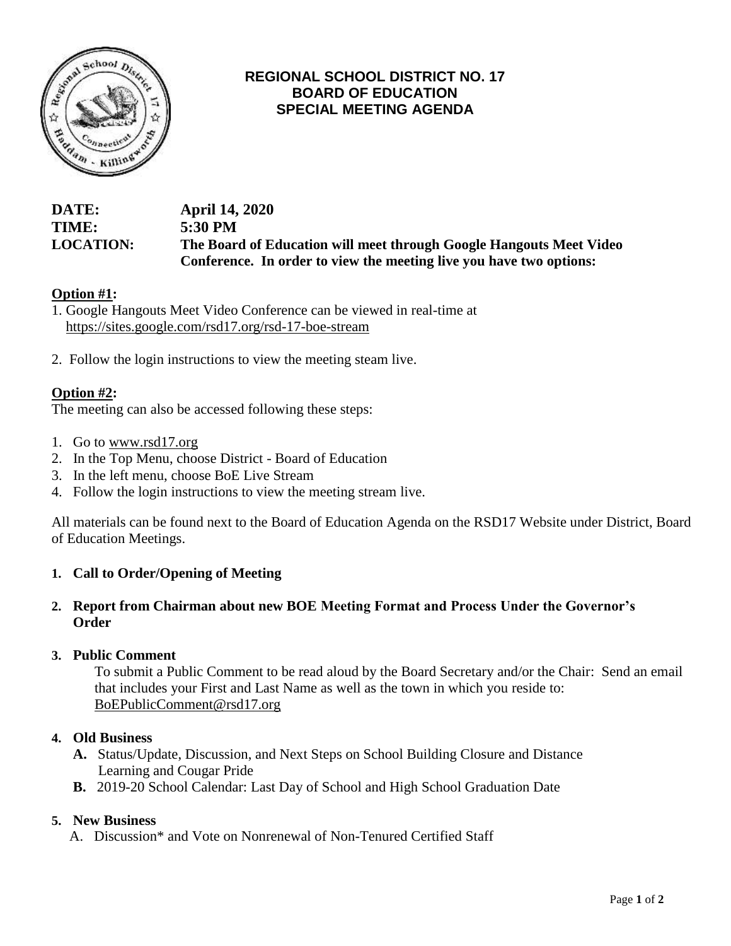

## **REGIONAL SCHOOL DISTRICT NO. 17 BOARD OF EDUCATION SPECIAL MEETING AGENDA**

## **DATE: April 14, 2020 TIME: 5:30 PM LOCATION: The Board of Education will meet through Google Hangouts Meet Video Conference. In order to view the meeting live you have two options:**

## **Option #1:**

1. Google Hangouts Meet Video Conference can be viewed in real-time at <https://sites.google.com/rsd17.org/rsd-17-boe-stream>

2. Follow the login instructions to view the meeting steam live.

## **Option #2:**

The meeting can also be accessed following these steps:

- 1. Go t[o](http://www.rsd17.org/) [www.rsd17.org](http://www.rsd17.org/)
- 2. In the Top Menu, choose District Board of Education
- 3. In the left menu, choose BoE Live Stream
- 4. Follow the login instructions to view the meeting stream live.

All materials can be found next to the Board of Education Agenda on the RSD17 Website under District, Board of Education Meetings.

#### **1. Call to Order/Opening of Meeting**

#### **2. Report from Chairman about new BOE Meeting Format and Process Under the Governor's Order**

#### **3. Public Comment**

To submit a Public Comment to be read aloud by the Board Secretary and/or the Chair: Send an email that includes your First and Last Name as well as the town in which you reside to: [BoEPublicComment@rsd17.org](mailto:BoEPublicComment@rsd17.org)

#### **4. Old Business**

- **A.** Status/Update, Discussion, and Next Steps on School Building Closure and Distance Learning and Cougar Pride
- **B.** 2019-20 School Calendar: Last Day of School and High School Graduation Date

#### **5. New Business**

A. Discussion\* and Vote on Nonrenewal of Non-Tenured Certified Staff